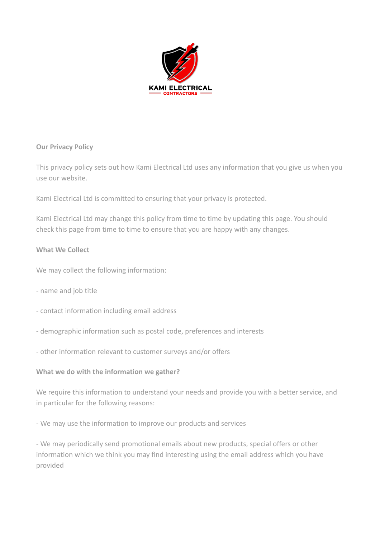

## **Our Privacy Policy**

This privacy policy sets out how Kami Electrical Ltd uses any information that you give us when you use our website.

Kami Electrical Ltd is committed to ensuring that your privacy is protected.

Kami Electrical Ltd may change this policy from time to time by updating this page. You should check this page from time to time to ensure that you are happy with any changes.

### **What We Collect**

We may collect the following information:

- name and job title
- contact information including email address
- demographic information such as postal code, preferences and interests
- other information relevant to customer surveys and/or offers

### **What we do with the information we gather?**

We require this information to understand your needs and provide you with a better service, and in particular for the following reasons:

- We may use the information to improve our products and services

- We may periodically send promotional emails about new products, special offers or other information which we think you may find interesting using the email address which you have provided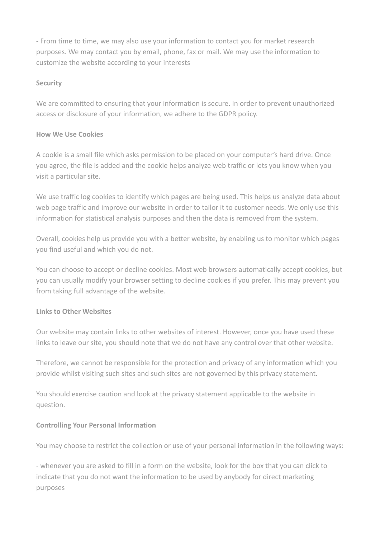- From time to time, we may also use your information to contact you for market research purposes. We may contact you by email, phone, fax or mail. We may use the information to customize the website according to your interests

### **Security**

We are committed to ensuring that your information is secure. In order to prevent unauthorized access or disclosure of your information, we adhere to the GDPR policy.

## **How We Use Cookies**

A cookie is a small file which asks permission to be placed on your computer's hard drive. Once you agree, the file is added and the cookie helps analyze web traffic or lets you know when you visit a particular site.

We use traffic log cookies to identify which pages are being used. This helps us analyze data about web page traffic and improve our website in order to tailor it to customer needs. We only use this information for statistical analysis purposes and then the data is removed from the system.

Overall, cookies help us provide you with a better website, by enabling us to monitor which pages you find useful and which you do not.

You can choose to accept or decline cookies. Most web browsers automatically accept cookies, but you can usually modify your browser setting to decline cookies if you prefer. This may prevent you from taking full advantage of the website.

# **Links to Other Websites**

Our website may contain links to other websites of interest. However, once you have used these links to leave our site, you should note that we do not have any control over that other website.

Therefore, we cannot be responsible for the protection and privacy of any information which you provide whilst visiting such sites and such sites are not governed by this privacy statement.

You should exercise caution and look at the privacy statement applicable to the website in question.

# **Controlling Your Personal Information**

You may choose to restrict the collection or use of your personal information in the following ways:

- whenever you are asked to fill in a form on the website, look for the box that you can click to indicate that you do not want the information to be used by anybody for direct marketing purposes